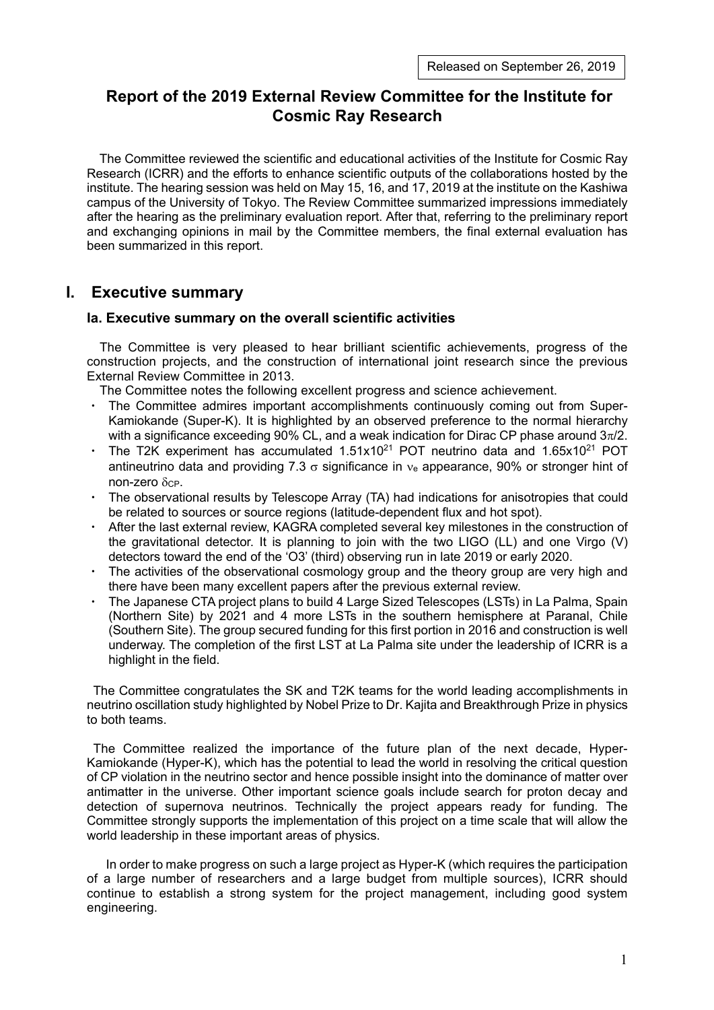# **Report of the 2019 External Review Committee for the Institute for Cosmic Ray Research**

The Committee reviewed the scientific and educational activities of the Institute for Cosmic Ray Research (ICRR) and the efforts to enhance scientific outputs of the collaborations hosted by the institute. The hearing session was held on May 15, 16, and 17, 2019 at the institute on the Kashiwa campus of the University of Tokyo. The Review Committee summarized impressions immediately after the hearing as the preliminary evaluation report. After that, referring to the preliminary report and exchanging opinions in mail by the Committee members, the final external evaluation has been summarized in this report.

# **I. Executive summary**

## **Ia. Executive summary on the overall scientific activities**

The Committee is very pleased to hear brilliant scientific achievements, progress of the construction projects, and the construction of international joint research since the previous External Review Committee in 2013.

The Committee notes the following excellent progress and science achievement.

- The Committee admires important accomplishments continuously coming out from Super-Kamiokande (Super-K). It is highlighted by an observed preference to the normal hierarchy with a significance exceeding 90% CL, and a weak indication for Dirac CP phase around  $3\pi/2$ .
- $\cdot$  The T2K experiment has accumulated 1.51x10<sup>21</sup> POT neutrino data and 1.65x10<sup>21</sup> POT antineutrino data and providing 7.3  $\sigma$  significance in  $v_e$  appearance, 90% or stronger hint of  $non-zero \delta_{CP}$ .
- The observational results by Telescope Array (TA) had indications for anisotropies that could be related to sources or source regions (latitude-dependent flux and hot spot).
- After the last external review, KAGRA completed several key milestones in the construction of the gravitational detector. It is planning to join with the two LIGO (LL) and one Virgo (V) detectors toward the end of the 'O3' (third) observing run in late 2019 or early 2020.
- The activities of the observational cosmology group and the theory group are very high and there have been many excellent papers after the previous external review.
- ・ The Japanese CTA project plans to build 4 Large Sized Telescopes (LSTs) in La Palma, Spain (Northern Site) by 2021 and 4 more LSTs in the southern hemisphere at Paranal, Chile (Southern Site). The group secured funding for this first portion in 2016 and construction is well underway. The completion of the first LST at La Palma site under the leadership of ICRR is a highlight in the field.

The Committee congratulates the SK and T2K teams for the world leading accomplishments in neutrino oscillation study highlighted by Nobel Prize to Dr. Kajita and Breakthrough Prize in physics to both teams.

The Committee realized the importance of the future plan of the next decade, Hyper-Kamiokande (Hyper-K), which has the potential to lead the world in resolving the critical question of CP violation in the neutrino sector and hence possible insight into the dominance of matter over antimatter in the universe. Other important science goals include search for proton decay and detection of supernova neutrinos. Technically the project appears ready for funding. The Committee strongly supports the implementation of this project on a time scale that will allow the world leadership in these important areas of physics.

In order to make progress on such a large project as Hyper-K (which requires the participation of a large number of researchers and a large budget from multiple sources), ICRR should continue to establish a strong system for the project management, including good system engineering.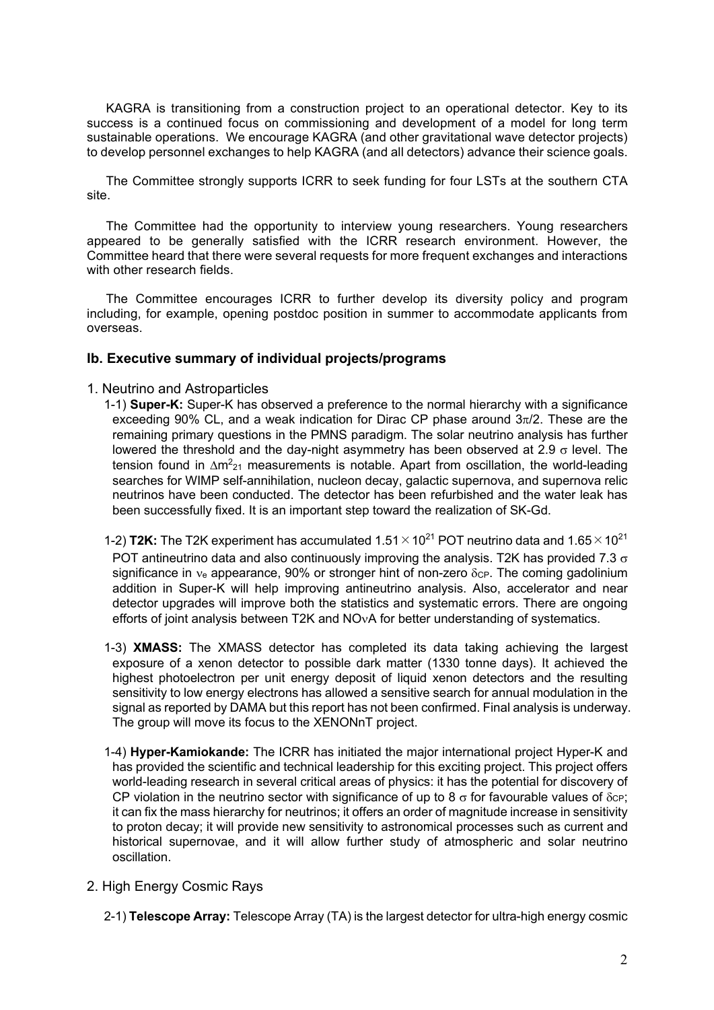KAGRA is transitioning from a construction project to an operational detector. Key to its success is a continued focus on commissioning and development of a model for long term sustainable operations. We encourage KAGRA (and other gravitational wave detector projects) to develop personnel exchanges to help KAGRA (and all detectors) advance their science goals.

The Committee strongly supports ICRR to seek funding for four LSTs at the southern CTA site.

The Committee had the opportunity to interview young researchers. Young researchers appeared to be generally satisfied with the ICRR research environment. However, the Committee heard that there were several requests for more frequent exchanges and interactions with other research fields.

The Committee encourages ICRR to further develop its diversity policy and program including, for example, opening postdoc position in summer to accommodate applicants from overseas.

### **Ib. Executive summary of individual projects/programs**

### 1. Neutrino and Astroparticles

- 1-1) **Super-K:** Super-K has observed a preference to the normal hierarchy with a significance exceeding 90% CL, and a weak indication for Dirac CP phase around  $3\pi/2$ . These are the remaining primary questions in the PMNS paradigm. The solar neutrino analysis has further lowered the threshold and the day-night asymmetry has been observed at 2.9  $\sigma$  level. The tension found in  $\Delta m^2$ <sub>21</sub> measurements is notable. Apart from oscillation, the world-leading searches for WIMP self-annihilation, nucleon decay, galactic supernova, and supernova relic neutrinos have been conducted. The detector has been refurbished and the water leak has been successfully fixed. It is an important step toward the realization of SK-Gd.
- 1-2) **T2K:** The T2K experiment has accumulated  $1.51 \times 10^{21}$  POT neutrino data and  $1.65 \times 10^{21}$ POT antineutrino data and also continuously improving the analysis. T2K has provided 7.3  $\sigma$ significance in  $v_e$  appearance, 90% or stronger hint of non-zero  $\delta_{CP}$ . The coming gadolinium addition in Super-K will help improving antineutrino analysis. Also, accelerator and near detector upgrades will improve both the statistics and systematic errors. There are ongoing efforts of joint analysis between T2K and NO<sub>V</sub>A for better understanding of systematics.
- 1-3) **XMASS:** The XMASS detector has completed its data taking achieving the largest exposure of a xenon detector to possible dark matter (1330 tonne days). It achieved the highest photoelectron per unit energy deposit of liquid xenon detectors and the resulting sensitivity to low energy electrons has allowed a sensitive search for annual modulation in the signal as reported by DAMA but this report has not been confirmed. Final analysis is underway. The group will move its focus to the XENONnT project.
- 1-4) **Hyper-Kamiokande:** The ICRR has initiated the major international project Hyper-K and has provided the scientific and technical leadership for this exciting project. This project offers world-leading research in several critical areas of physics: it has the potential for discovery of CP violation in the neutrino sector with significance of up to 8  $\sigma$  for favourable values of  $\delta$ c<sub>P</sub>; it can fix the mass hierarchy for neutrinos; it offers an order of magnitude increase in sensitivity to proton decay; it will provide new sensitivity to astronomical processes such as current and historical supernovae, and it will allow further study of atmospheric and solar neutrino oscillation.
- 2. High Energy Cosmic Rays
	- 2-1) **Telescope Array:** Telescope Array (TA) is the largest detector for ultra-high energy cosmic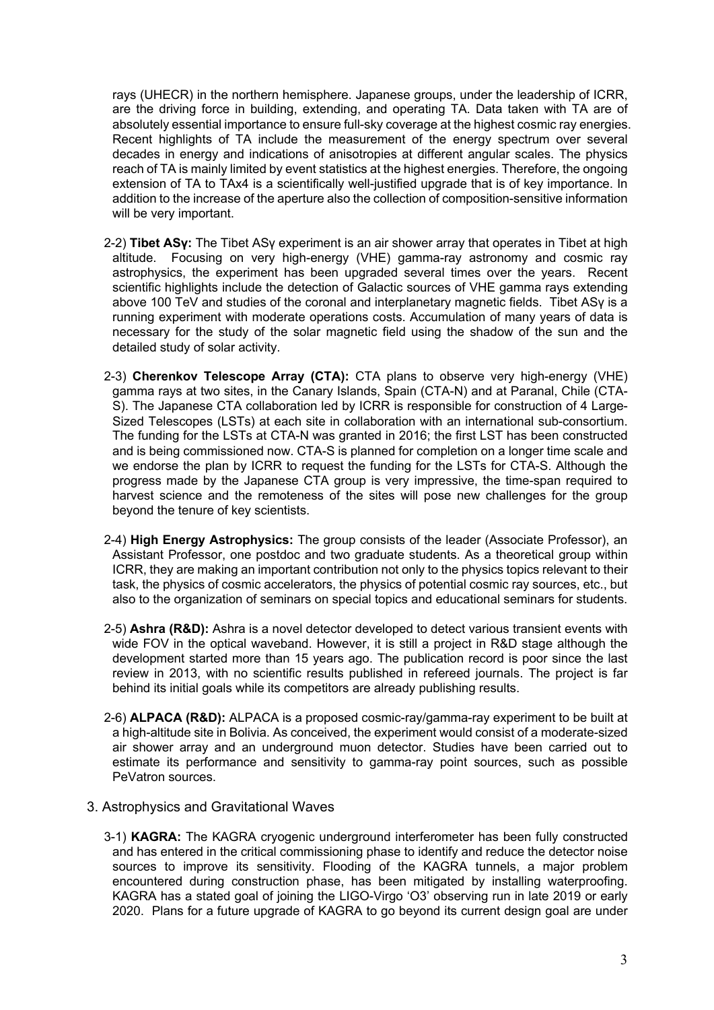rays (UHECR) in the northern hemisphere. Japanese groups, under the leadership of ICRR, are the driving force in building, extending, and operating TA. Data taken with TA are of absolutely essential importance to ensure full-sky coverage at the highest cosmic ray energies. Recent highlights of TA include the measurement of the energy spectrum over several decades in energy and indications of anisotropies at different angular scales. The physics reach of TA is mainly limited by event statistics at the highest energies. Therefore, the ongoing extension of TA to TAx4 is a scientifically well-justified upgrade that is of key importance. In addition to the increase of the aperture also the collection of composition-sensitive information will be very important.

- 2-2) **Tibet ASγ:** The Tibet ASγ experiment is an air shower array that operates in Tibet at high altitude. Focusing on very high-energy (VHE) gamma-ray astronomy and cosmic ray astrophysics, the experiment has been upgraded several times over the years. Recent scientific highlights include the detection of Galactic sources of VHE gamma rays extending above 100 TeV and studies of the coronal and interplanetary magnetic fields. Tibet ASγ is a running experiment with moderate operations costs. Accumulation of many years of data is necessary for the study of the solar magnetic field using the shadow of the sun and the detailed study of solar activity.
- 2-3) **Cherenkov Telescope Array (CTA):** CTA plans to observe very high-energy (VHE) gamma rays at two sites, in the Canary Islands, Spain (CTA-N) and at Paranal, Chile (CTA-S). The Japanese CTA collaboration led by ICRR is responsible for construction of 4 Large-Sized Telescopes (LSTs) at each site in collaboration with an international sub-consortium. The funding for the LSTs at CTA-N was granted in 2016; the first LST has been constructed and is being commissioned now. CTA-S is planned for completion on a longer time scale and we endorse the plan by ICRR to request the funding for the LSTs for CTA-S. Although the progress made by the Japanese CTA group is very impressive, the time-span required to harvest science and the remoteness of the sites will pose new challenges for the group beyond the tenure of key scientists.
- 2-4) **High Energy Astrophysics:** The group consists of the leader (Associate Professor), an Assistant Professor, one postdoc and two graduate students. As a theoretical group within ICRR, they are making an important contribution not only to the physics topics relevant to their task, the physics of cosmic accelerators, the physics of potential cosmic ray sources, etc., but also to the organization of seminars on special topics and educational seminars for students.
- 2-5) **Ashra (R&D):** Ashra is a novel detector developed to detect various transient events with wide FOV in the optical waveband. However, it is still a project in R&D stage although the development started more than 15 years ago. The publication record is poor since the last review in 2013, with no scientific results published in refereed journals. The project is far behind its initial goals while its competitors are already publishing results.
- 2-6) **ALPACA (R&D):** ALPACA is a proposed cosmic-ray/gamma-ray experiment to be built at a high-altitude site in Bolivia. As conceived, the experiment would consist of a moderate-sized air shower array and an underground muon detector. Studies have been carried out to estimate its performance and sensitivity to gamma-ray point sources, such as possible PeVatron sources.
- 3. Astrophysics and Gravitational Waves
	- 3-1) **KAGRA:** The KAGRA cryogenic underground interferometer has been fully constructed and has entered in the critical commissioning phase to identify and reduce the detector noise sources to improve its sensitivity. Flooding of the KAGRA tunnels, a major problem encountered during construction phase, has been mitigated by installing waterproofing. KAGRA has a stated goal of joining the LIGO-Virgo 'O3' observing run in late 2019 or early 2020. Plans for a future upgrade of KAGRA to go beyond its current design goal are under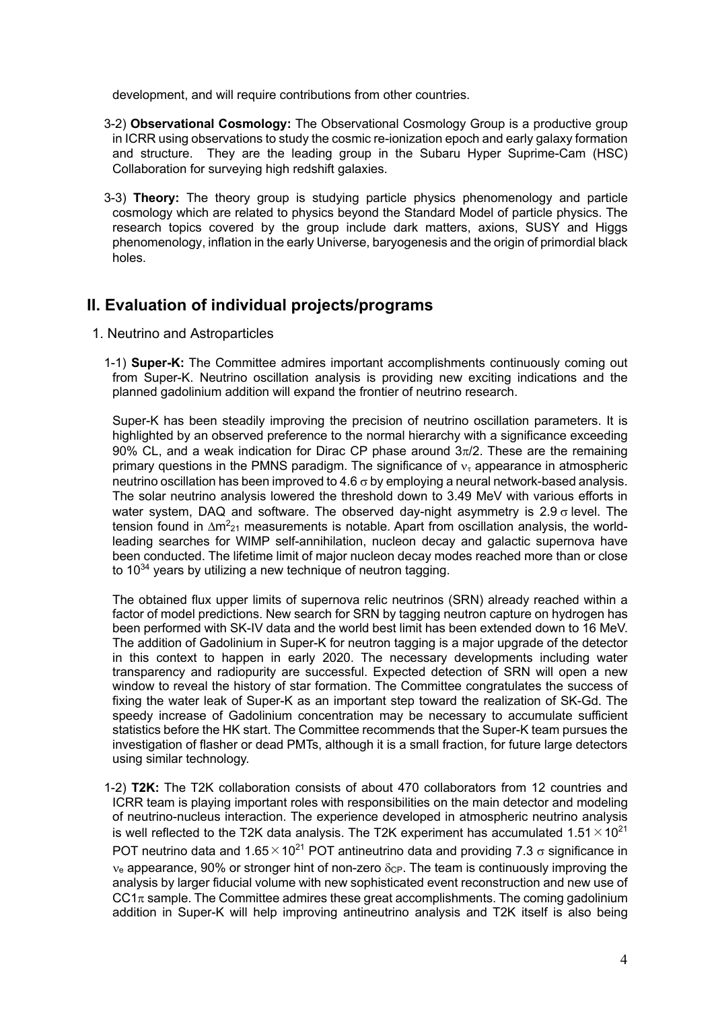development, and will require contributions from other countries.

- 3-2) **Observational Cosmology:** The Observational Cosmology Group is a productive group in ICRR using observations to study the cosmic re-ionization epoch and early galaxy formation and structure. They are the leading group in the Subaru Hyper Suprime-Cam (HSC) Collaboration for surveying high redshift galaxies.
- 3-3) **Theory:** The theory group is studying particle physics phenomenology and particle cosmology which are related to physics beyond the Standard Model of particle physics. The research topics covered by the group include dark matters, axions, SUSY and Higgs phenomenology, inflation in the early Universe, baryogenesis and the origin of primordial black holes.

# **II. Evaluation of individual projects/programs**

- 1. Neutrino and Astroparticles
	- 1-1) **Super-K:** The Committee admires important accomplishments continuously coming out from Super-K. Neutrino oscillation analysis is providing new exciting indications and the planned gadolinium addition will expand the frontier of neutrino research.

Super-K has been steadily improving the precision of neutrino oscillation parameters. It is highlighted by an observed preference to the normal hierarchy with a significance exceeding 90% CL, and a weak indication for Dirac CP phase around  $3\pi/2$ . These are the remaining primary questions in the PMNS paradigm. The significance of  $v<sub>t</sub>$  appearance in atmospheric neutrino oscillation has been improved to 4.6  $\sigma$  by employing a neural network-based analysis. The solar neutrino analysis lowered the threshold down to 3.49 MeV with various efforts in water system, DAQ and software. The observed day-night asymmetry is  $2.9 \sigma$  level. The tension found in  $\Delta m^2$ <sub>21</sub> measurements is notable. Apart from oscillation analysis, the worldleading searches for WIMP self-annihilation, nucleon decay and galactic supernova have been conducted. The lifetime limit of major nucleon decay modes reached more than or close to  $10^{34}$  years by utilizing a new technique of neutron tagging.

The obtained flux upper limits of supernova relic neutrinos (SRN) already reached within a factor of model predictions. New search for SRN by tagging neutron capture on hydrogen has been performed with SK-IV data and the world best limit has been extended down to 16 MeV. The addition of Gadolinium in Super-K for neutron tagging is a major upgrade of the detector in this context to happen in early 2020. The necessary developments including water transparency and radiopurity are successful. Expected detection of SRN will open a new window to reveal the history of star formation. The Committee congratulates the success of fixing the water leak of Super-K as an important step toward the realization of SK-Gd. The speedy increase of Gadolinium concentration may be necessary to accumulate sufficient statistics before the HK start. The Committee recommends that the Super-K team pursues the investigation of flasher or dead PMTs, although it is a small fraction, for future large detectors using similar technology.

1-2) **T2K:** The T2K collaboration consists of about 470 collaborators from 12 countries and ICRR team is playing important roles with responsibilities on the main detector and modeling of neutrino-nucleus interaction. The experience developed in atmospheric neutrino analysis is well reflected to the T2K data analysis. The T2K experiment has accumulated  $1.51 \times 10^{21}$ POT neutrino data and  $1.65 \times 10^{21}$  POT antineutrino data and providing 7.3  $\sigma$  significance in  $v<sub>e</sub>$  appearance, 90% or stronger hint of non-zero  $\delta_{CP}$ . The team is continuously improving the analysis by larger fiducial volume with new sophisticated event reconstruction and new use of  $CC1\pi$  sample. The Committee admires these great accomplishments. The coming gadolinium addition in Super-K will help improving antineutrino analysis and T2K itself is also being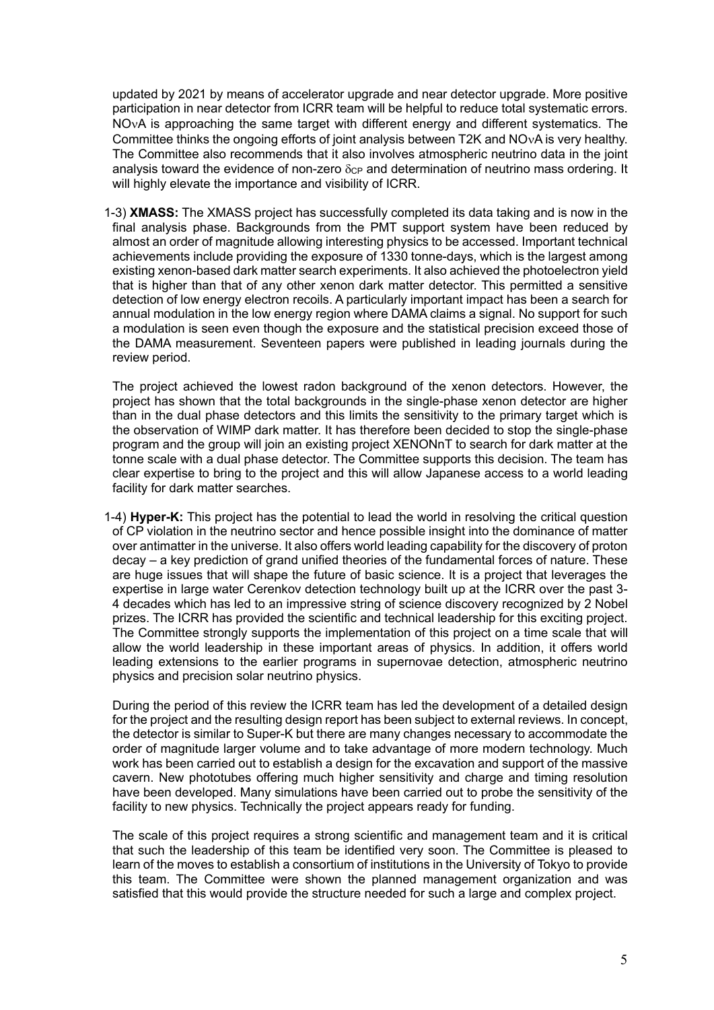updated by 2021 by means of accelerator upgrade and near detector upgrade. More positive participation in near detector from ICRR team will be helpful to reduce total systematic errors. NO<sub>V</sub>A is approaching the same target with different energy and different systematics. The Committee thinks the ongoing efforts of joint analysis between T2K and NO<sub>V</sub>A is very healthy. The Committee also recommends that it also involves atmospheric neutrino data in the joint analysis toward the evidence of non-zero  $\delta$ c<sub>P</sub> and determination of neutrino mass ordering. It will highly elevate the importance and visibility of ICRR.

1-3) **XMASS:** The XMASS project has successfully completed its data taking and is now in the final analysis phase. Backgrounds from the PMT support system have been reduced by almost an order of magnitude allowing interesting physics to be accessed. Important technical achievements include providing the exposure of 1330 tonne-days, which is the largest among existing xenon-based dark matter search experiments. It also achieved the photoelectron yield that is higher than that of any other xenon dark matter detector. This permitted a sensitive detection of low energy electron recoils. A particularly important impact has been a search for annual modulation in the low energy region where DAMA claims a signal. No support for such a modulation is seen even though the exposure and the statistical precision exceed those of the DAMA measurement. Seventeen papers were published in leading journals during the review period.

The project achieved the lowest radon background of the xenon detectors. However, the project has shown that the total backgrounds in the single-phase xenon detector are higher than in the dual phase detectors and this limits the sensitivity to the primary target which is the observation of WIMP dark matter. It has therefore been decided to stop the single-phase program and the group will join an existing project XENONnT to search for dark matter at the tonne scale with a dual phase detector. The Committee supports this decision. The team has clear expertise to bring to the project and this will allow Japanese access to a world leading facility for dark matter searches.

1-4) **Hyper-K:** This project has the potential to lead the world in resolving the critical question of CP violation in the neutrino sector and hence possible insight into the dominance of matter over antimatter in the universe. It also offers world leading capability for the discovery of proton decay – a key prediction of grand unified theories of the fundamental forces of nature. These are huge issues that will shape the future of basic science. It is a project that leverages the expertise in large water Cerenkov detection technology built up at the ICRR over the past 3- 4 decades which has led to an impressive string of science discovery recognized by 2 Nobel prizes. The ICRR has provided the scientific and technical leadership for this exciting project. The Committee strongly supports the implementation of this project on a time scale that will allow the world leadership in these important areas of physics. In addition, it offers world leading extensions to the earlier programs in supernovae detection, atmospheric neutrino physics and precision solar neutrino physics.

During the period of this review the ICRR team has led the development of a detailed design for the project and the resulting design report has been subject to external reviews. In concept, the detector is similar to Super-K but there are many changes necessary to accommodate the order of magnitude larger volume and to take advantage of more modern technology. Much work has been carried out to establish a design for the excavation and support of the massive cavern. New phototubes offering much higher sensitivity and charge and timing resolution have been developed. Many simulations have been carried out to probe the sensitivity of the facility to new physics. Technically the project appears ready for funding.

The scale of this project requires a strong scientific and management team and it is critical that such the leadership of this team be identified very soon. The Committee is pleased to learn of the moves to establish a consortium of institutions in the University of Tokyo to provide this team. The Committee were shown the planned management organization and was satisfied that this would provide the structure needed for such a large and complex project.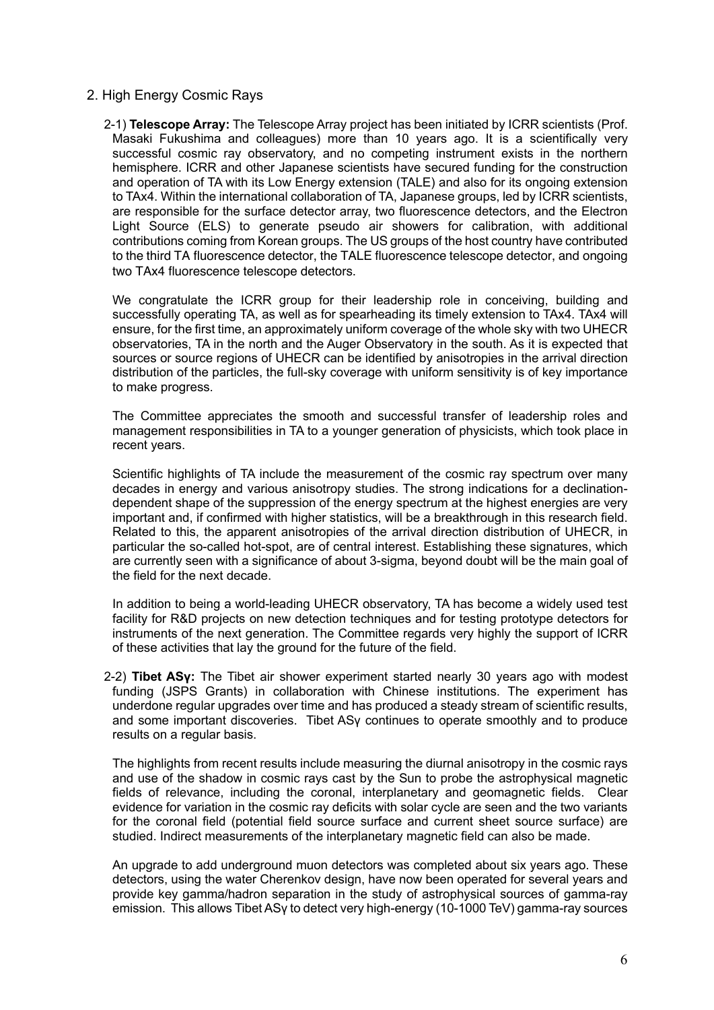### 2. High Energy Cosmic Rays

2-1) **Telescope Array:** The Telescope Array project has been initiated by ICRR scientists (Prof. Masaki Fukushima and colleagues) more than 10 years ago. It is a scientifically very successful cosmic ray observatory, and no competing instrument exists in the northern hemisphere. ICRR and other Japanese scientists have secured funding for the construction and operation of TA with its Low Energy extension (TALE) and also for its ongoing extension to TAx4. Within the international collaboration of TA, Japanese groups, led by ICRR scientists, are responsible for the surface detector array, two fluorescence detectors, and the Electron Light Source (ELS) to generate pseudo air showers for calibration, with additional contributions coming from Korean groups. The US groups of the host country have contributed to the third TA fluorescence detector, the TALE fluorescence telescope detector, and ongoing two TAx4 fluorescence telescope detectors.

We congratulate the ICRR group for their leadership role in conceiving, building and successfully operating TA, as well as for spearheading its timely extension to TAx4. TAx4 will ensure, for the first time, an approximately uniform coverage of the whole sky with two UHECR observatories, TA in the north and the Auger Observatory in the south. As it is expected that sources or source regions of UHECR can be identified by anisotropies in the arrival direction distribution of the particles, the full-sky coverage with uniform sensitivity is of key importance to make progress.

The Committee appreciates the smooth and successful transfer of leadership roles and management responsibilities in TA to a younger generation of physicists, which took place in recent years.

Scientific highlights of TA include the measurement of the cosmic ray spectrum over many decades in energy and various anisotropy studies. The strong indications for a declinationdependent shape of the suppression of the energy spectrum at the highest energies are very important and, if confirmed with higher statistics, will be a breakthrough in this research field. Related to this, the apparent anisotropies of the arrival direction distribution of UHECR, in particular the so-called hot-spot, are of central interest. Establishing these signatures, which are currently seen with a significance of about 3-sigma, beyond doubt will be the main goal of the field for the next decade.

In addition to being a world-leading UHECR observatory, TA has become a widely used test facility for R&D projects on new detection techniques and for testing prototype detectors for instruments of the next generation. The Committee regards very highly the support of ICRR of these activities that lay the ground for the future of the field.

2-2) **Tibet ASγ:** The Tibet air shower experiment started nearly 30 years ago with modest funding (JSPS Grants) in collaboration with Chinese institutions. The experiment has underdone regular upgrades over time and has produced a steady stream of scientific results, and some important discoveries. Tibet ASγ continues to operate smoothly and to produce results on a regular basis.

The highlights from recent results include measuring the diurnal anisotropy in the cosmic rays and use of the shadow in cosmic rays cast by the Sun to probe the astrophysical magnetic fields of relevance, including the coronal, interplanetary and geomagnetic fields. Clear evidence for variation in the cosmic ray deficits with solar cycle are seen and the two variants for the coronal field (potential field source surface and current sheet source surface) are studied. Indirect measurements of the interplanetary magnetic field can also be made.

An upgrade to add underground muon detectors was completed about six years ago. These detectors, using the water Cherenkov design, have now been operated for several years and provide key gamma/hadron separation in the study of astrophysical sources of gamma-ray emission. This allows Tibet ASγ to detect very high-energy (10-1000 TeV) gamma-ray sources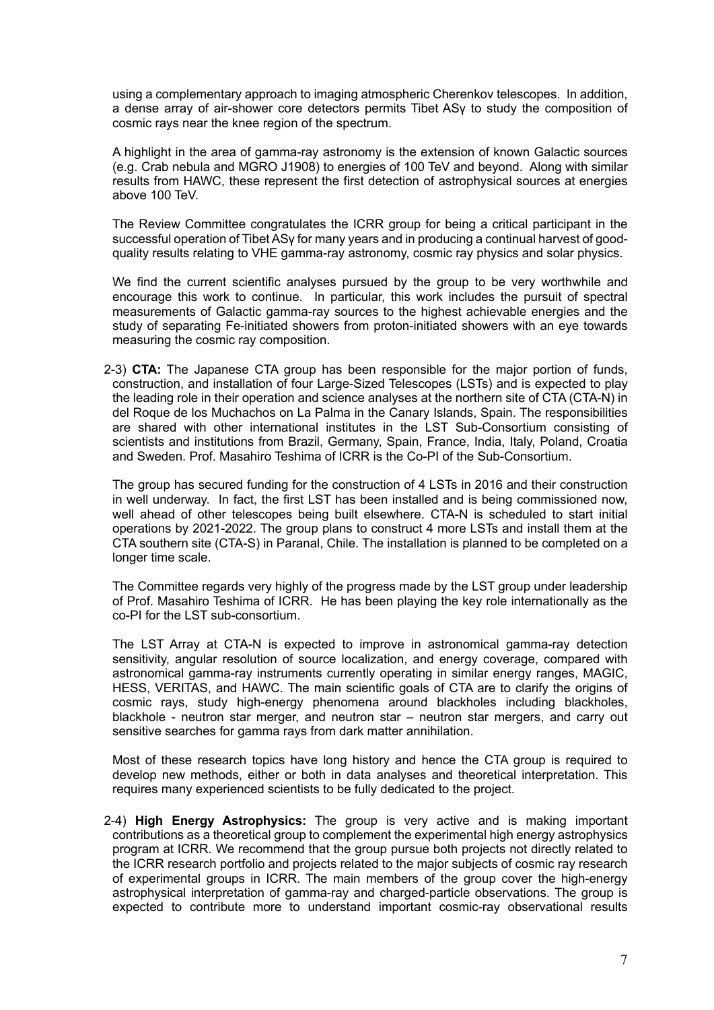using a complementary approach to imaging atmospheric Cherenkov telescopes. In addition, a dense array of air-shower core detectors permits Tibet ASγ to study the composition of cosmic rays near the knee region of the spectrum.

A highlight in the area of gamma-ray astronomy is the extension of known Galactic sources (e.g. Crab nebula and MGRO J1908) to energies of 100 TeV and beyond. Along with similar results from HAWC, these represent the first detection of astrophysical sources at energies above 100 TeV.

The Review Committee congratulates the ICRR group for being a critical participant in the successful operation of Tibet ASγ for many years and in producing a continual harvest of goodquality results relating to VHE gamma-ray astronomy, cosmic ray physics and solar physics.

We find the current scientific analyses pursued by the group to be very worthwhile and encourage this work to continue. In particular, this work includes the pursuit of spectral measurements of Galactic gamma-ray sources to the highest achievable energies and the study of separating Fe-initiated showers from proton-initiated showers with an eye towards measuring the cosmic ray composition.

2-3) **CTA:** The Japanese CTA group has been responsible for the major portion of funds, construction, and installation of four Large-Sized Telescopes (LSTs) and is expected to play the leading role in their operation and science analyses at the northern site of CTA (CTA-N) in del Roque de los Muchachos on La Palma in the Canary Islands, Spain. The responsibilities are shared with other international institutes in the LST Sub-Consortium consisting of scientists and institutions from Brazil, Germany, Spain, France, India, Italy, Poland, Croatia and Sweden. Prof. Masahiro Teshima of ICRR is the Co-PI of the Sub-Consortium.

The group has secured funding for the construction of 4 LSTs in 2016 and their construction in well underway. In fact, the first LST has been installed and is being commissioned now, well ahead of other telescopes being built elsewhere. CTA-N is scheduled to start initial operations by 2021-2022. The group plans to construct 4 more LSTs and install them at the CTA southern site (CTA-S) in Paranal, Chile. The installation is planned to be completed on a longer time scale.

The Committee regards very highly of the progress made by the LST group under leadership of Prof. Masahiro Teshima of ICRR. He has been playing the key role internationally as the co-PI for the LST sub-consortium.

The LST Array at CTA-N is expected to improve in astronomical gamma-ray detection sensitivity, angular resolution of source localization, and energy coverage, compared with astronomical gamma-ray instruments currently operating in similar energy ranges, MAGIC, HESS, VERITAS, and HAWC. The main scientific goals of CTA are to clarify the origins of cosmic rays, study high-energy phenomena around blackholes including blackholes, blackhole - neutron star merger, and neutron star – neutron star mergers, and carry out sensitive searches for gamma rays from dark matter annihilation.

Most of these research topics have long history and hence the CTA group is required to develop new methods, either or both in data analyses and theoretical interpretation. This requires many experienced scientists to be fully dedicated to the project.

2-4) **High Energy Astrophysics:** The group is very active and is making important contributions as a theoretical group to complement the experimental high energy astrophysics program at ICRR. We recommend that the group pursue both projects not directly related to the ICRR research portfolio and projects related to the major subjects of cosmic ray research of experimental groups in ICRR. The main members of the group cover the high-energy astrophysical interpretation of gamma-ray and charged-particle observations. The group is expected to contribute more to understand important cosmic-ray observational results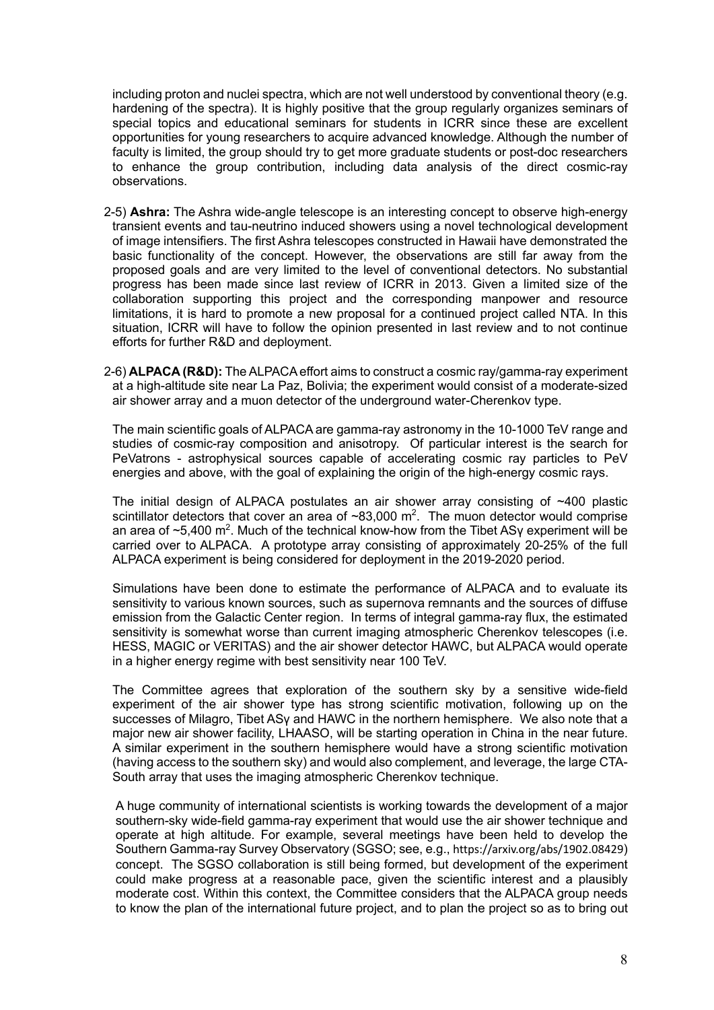including proton and nuclei spectra, which are not well understood by conventional theory (e.g. hardening of the spectra). It is highly positive that the group regularly organizes seminars of special topics and educational seminars for students in ICRR since these are excellent opportunities for young researchers to acquire advanced knowledge. Although the number of faculty is limited, the group should try to get more graduate students or post-doc researchers to enhance the group contribution, including data analysis of the direct cosmic-ray observations.

- 2-5) **Ashra:** The Ashra wide-angle telescope is an interesting concept to observe high-energy transient events and tau-neutrino induced showers using a novel technological development of image intensifiers. The first Ashra telescopes constructed in Hawaii have demonstrated the basic functionality of the concept. However, the observations are still far away from the proposed goals and are very limited to the level of conventional detectors. No substantial progress has been made since last review of ICRR in 2013. Given a limited size of the collaboration supporting this project and the corresponding manpower and resource limitations, it is hard to promote a new proposal for a continued project called NTA. In this situation, ICRR will have to follow the opinion presented in last review and to not continue efforts for further R&D and deployment.
- 2-6) **ALPACA (R&D):** The ALPACA effort aims to construct a cosmic ray/gamma-ray experiment at a high-altitude site near La Paz, Bolivia; the experiment would consist of a moderate-sized air shower array and a muon detector of the underground water-Cherenkov type.

The main scientific goals of ALPACA are gamma-ray astronomy in the 10-1000 TeV range and studies of cosmic-ray composition and anisotropy. Of particular interest is the search for PeVatrons - astrophysical sources capable of accelerating cosmic ray particles to PeV energies and above, with the goal of explaining the origin of the high-energy cosmic rays.

The initial design of ALPACA postulates an air shower array consisting of ~400 plastic scintillator detectors that cover an area of  $\sim 83,000$  m<sup>2</sup>. The muon detector would comprise an area of  $\sim$ 5,400 m<sup>2</sup>. Much of the technical know-how from the Tibet ASy experiment will be carried over to ALPACA. A prototype array consisting of approximately 20-25% of the full ALPACA experiment is being considered for deployment in the 2019-2020 period.

Simulations have been done to estimate the performance of ALPACA and to evaluate its sensitivity to various known sources, such as supernova remnants and the sources of diffuse emission from the Galactic Center region. In terms of integral gamma-ray flux, the estimated sensitivity is somewhat worse than current imaging atmospheric Cherenkov telescopes (i.e. HESS, MAGIC or VERITAS) and the air shower detector HAWC, but ALPACA would operate in a higher energy regime with best sensitivity near 100 TeV.

The Committee agrees that exploration of the southern sky by a sensitive wide-field experiment of the air shower type has strong scientific motivation, following up on the successes of Milagro, Tibet ASγ and HAWC in the northern hemisphere. We also note that a major new air shower facility, LHAASO, will be starting operation in China in the near future. A similar experiment in the southern hemisphere would have a strong scientific motivation (having access to the southern sky) and would also complement, and leverage, the large CTA-South array that uses the imaging atmospheric Cherenkov technique.

A huge community of international scientists is working towards the development of a major southern-sky wide-field gamma-ray experiment that would use the air shower technique and operate at high altitude. For example, several meetings have been held to develop the Southern Gamma-ray Survey Observatory (SGSO; see, e.g., https://arxiv.org/abs/1902.08429) concept. The SGSO collaboration is still being formed, but development of the experiment could make progress at a reasonable pace, given the scientific interest and a plausibly moderate cost. Within this context, the Committee considers that the ALPACA group needs to know the plan of the international future project, and to plan the project so as to bring out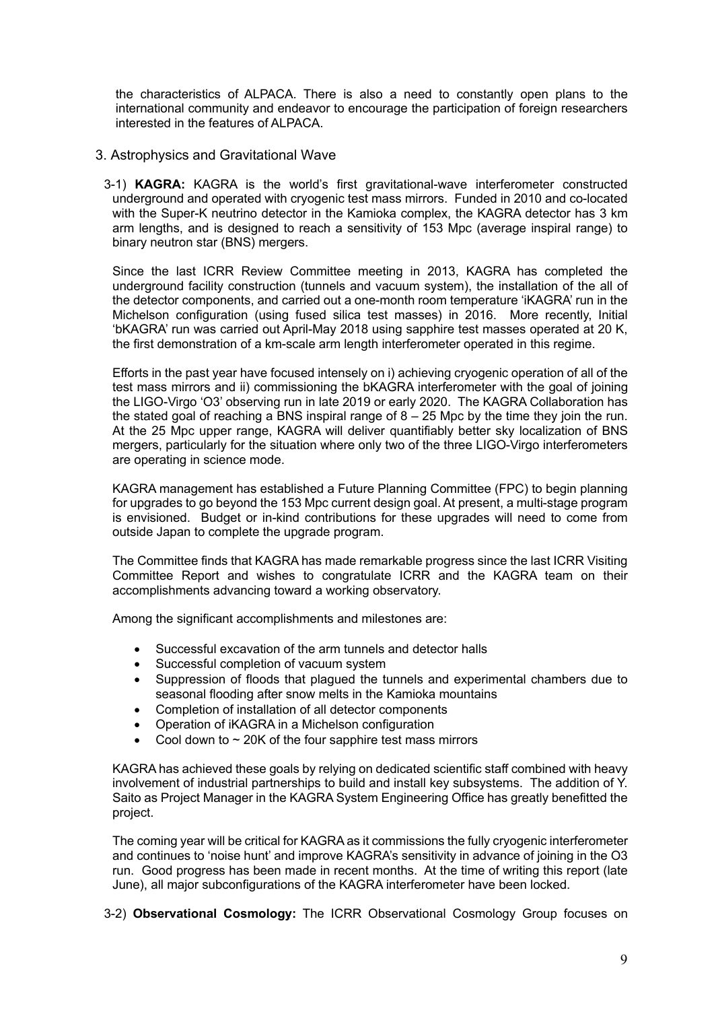the characteristics of ALPACA. There is also a need to constantly open plans to the international community and endeavor to encourage the participation of foreign researchers interested in the features of ALPACA.

- 3. Astrophysics and Gravitational Wave
	- 3-1) **KAGRA:** KAGRA is the world's first gravitational-wave interferometer constructed underground and operated with cryogenic test mass mirrors. Funded in 2010 and co-located with the Super-K neutrino detector in the Kamioka complex, the KAGRA detector has 3 km arm lengths, and is designed to reach a sensitivity of 153 Mpc (average inspiral range) to binary neutron star (BNS) mergers.

Since the last ICRR Review Committee meeting in 2013, KAGRA has completed the underground facility construction (tunnels and vacuum system), the installation of the all of the detector components, and carried out a one-month room temperature 'iKAGRA' run in the Michelson configuration (using fused silica test masses) in 2016. More recently, Initial 'bKAGRA' run was carried out April-May 2018 using sapphire test masses operated at 20 K, the first demonstration of a km-scale arm length interferometer operated in this regime.

Efforts in the past year have focused intensely on i) achieving cryogenic operation of all of the test mass mirrors and ii) commissioning the bKAGRA interferometer with the goal of joining the LIGO-Virgo 'O3' observing run in late 2019 or early 2020. The KAGRA Collaboration has the stated goal of reaching a BNS inspiral range of  $8 - 25$  Mpc by the time they join the run. At the 25 Mpc upper range, KAGRA will deliver quantifiably better sky localization of BNS mergers, particularly for the situation where only two of the three LIGO-Virgo interferometers are operating in science mode.

KAGRA management has established a Future Planning Committee (FPC) to begin planning for upgrades to go beyond the 153 Mpc current design goal. At present, a multi-stage program is envisioned. Budget or in-kind contributions for these upgrades will need to come from outside Japan to complete the upgrade program.

The Committee finds that KAGRA has made remarkable progress since the last ICRR Visiting Committee Report and wishes to congratulate ICRR and the KAGRA team on their accomplishments advancing toward a working observatory.

Among the significant accomplishments and milestones are:

- Successful excavation of the arm tunnels and detector halls
- Successful completion of vacuum system
- Suppression of floods that plagued the tunnels and experimental chambers due to seasonal flooding after snow melts in the Kamioka mountains
- Completion of installation of all detector components
- Operation of iKAGRA in a Michelson configuration
- Cool down to  $\sim$  20K of the four sapphire test mass mirrors

KAGRA has achieved these goals by relying on dedicated scientific staff combined with heavy involvement of industrial partnerships to build and install key subsystems. The addition of Y. Saito as Project Manager in the KAGRA System Engineering Office has greatly benefitted the project.

The coming year will be critical for KAGRA as it commissions the fully cryogenic interferometer and continues to 'noise hunt' and improve KAGRA's sensitivity in advance of joining in the O3 run. Good progress has been made in recent months. At the time of writing this report (late June), all major subconfigurations of the KAGRA interferometer have been locked.

3-2) **Observational Cosmology:** The ICRR Observational Cosmology Group focuses on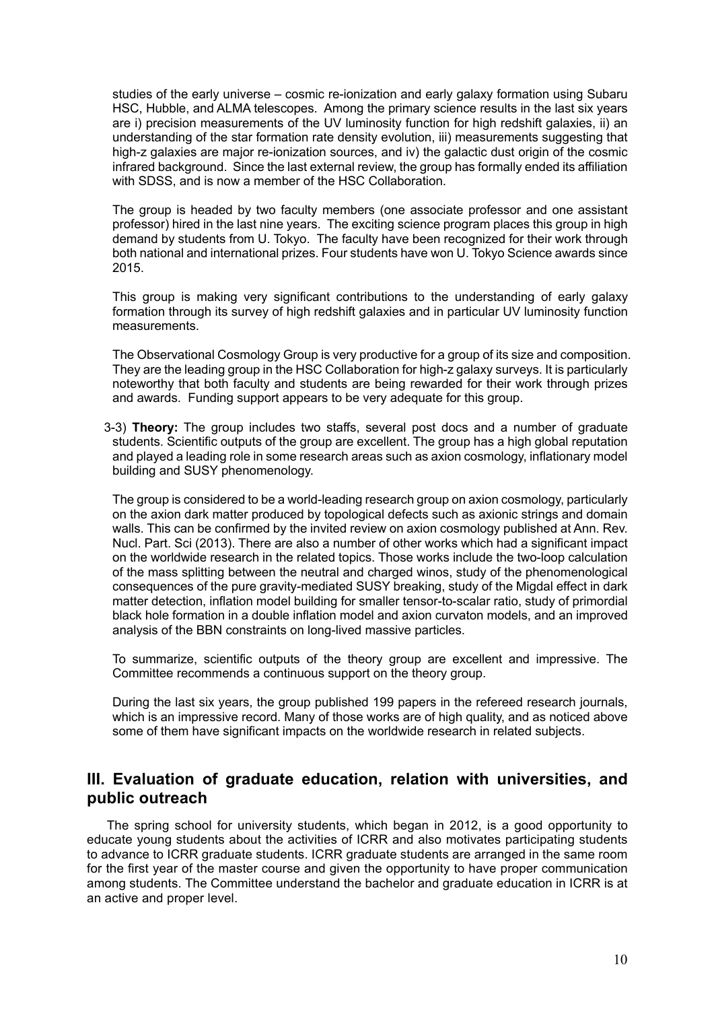studies of the early universe – cosmic re-ionization and early galaxy formation using Subaru HSC, Hubble, and ALMA telescopes. Among the primary science results in the last six years are i) precision measurements of the UV luminosity function for high redshift galaxies, ii) an understanding of the star formation rate density evolution, iii) measurements suggesting that high-z galaxies are major re-ionization sources, and iv) the galactic dust origin of the cosmic infrared background. Since the last external review, the group has formally ended its affiliation with SDSS, and is now a member of the HSC Collaboration.

The group is headed by two faculty members (one associate professor and one assistant professor) hired in the last nine years. The exciting science program places this group in high demand by students from U. Tokyo. The faculty have been recognized for their work through both national and international prizes. Four students have won U. Tokyo Science awards since 2015.

This group is making very significant contributions to the understanding of early galaxy formation through its survey of high redshift galaxies and in particular UV luminosity function measurements.

The Observational Cosmology Group is very productive for a group of its size and composition. They are the leading group in the HSC Collaboration for high-z galaxy surveys. It is particularly noteworthy that both faculty and students are being rewarded for their work through prizes and awards. Funding support appears to be very adequate for this group.

3-3) **Theory:** The group includes two staffs, several post docs and a number of graduate students. Scientific outputs of the group are excellent. The group has a high global reputation and played a leading role in some research areas such as axion cosmology, inflationary model building and SUSY phenomenology.

The group is considered to be a world-leading research group on axion cosmology, particularly on the axion dark matter produced by topological defects such as axionic strings and domain walls. This can be confirmed by the invited review on axion cosmology published at Ann. Rev. Nucl. Part. Sci (2013). There are also a number of other works which had a significant impact on the worldwide research in the related topics. Those works include the two-loop calculation of the mass splitting between the neutral and charged winos, study of the phenomenological consequences of the pure gravity-mediated SUSY breaking, study of the Migdal effect in dark matter detection, inflation model building for smaller tensor-to-scalar ratio, study of primordial black hole formation in a double inflation model and axion curvaton models, and an improved analysis of the BBN constraints on long-lived massive particles.

To summarize, scientific outputs of the theory group are excellent and impressive. The Committee recommends a continuous support on the theory group.

During the last six years, the group published 199 papers in the refereed research journals, which is an impressive record. Many of those works are of high quality, and as noticed above some of them have significant impacts on the worldwide research in related subjects.

# **III. Evaluation of graduate education, relation with universities, and public outreach**

 The spring school for university students, which began in 2012, is a good opportunity to educate young students about the activities of ICRR and also motivates participating students to advance to ICRR graduate students. ICRR graduate students are arranged in the same room for the first year of the master course and given the opportunity to have proper communication among students. The Committee understand the bachelor and graduate education in ICRR is at an active and proper level.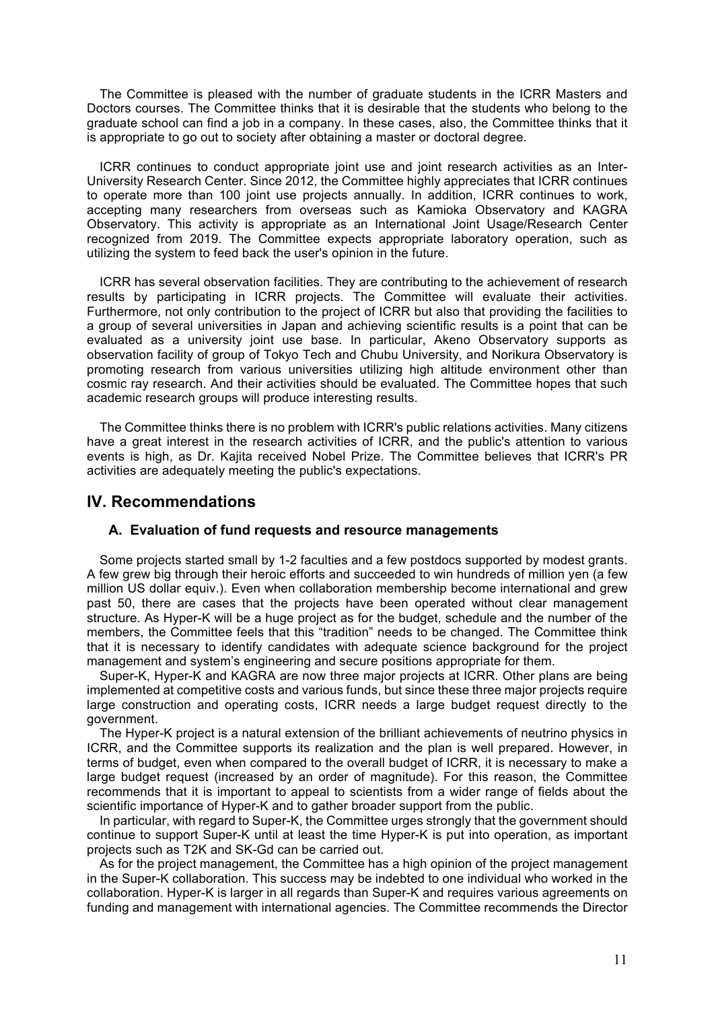The Committee is pleased with the number of graduate students in the ICRR Masters and Doctors courses. The Committee thinks that it is desirable that the students who belong to the graduate school can find a job in a company. In these cases, also, the Committee thinks that it is appropriate to go out to society after obtaining a master or doctoral degree.

ICRR continues to conduct appropriate joint use and joint research activities as an Inter-University Research Center. Since 2012, the Committee highly appreciates that ICRR continues to operate more than 100 joint use projects annually. In addition, ICRR continues to work, accepting many researchers from overseas such as Kamioka Observatory and KAGRA Observatory. This activity is appropriate as an International Joint Usage/Research Center recognized from 2019. The Committee expects appropriate laboratory operation, such as utilizing the system to feed back the user's opinion in the future.

ICRR has several observation facilities. They are contributing to the achievement of research results by participating in ICRR projects. The Committee will evaluate their activities. Furthermore, not only contribution to the project of ICRR but also that providing the facilities to a group of several universities in Japan and achieving scientific results is a point that can be evaluated as a university joint use base. In particular, Akeno Observatory supports as observation facility of group of Tokyo Tech and Chubu University, and Norikura Observatory is promoting research from various universities utilizing high altitude environment other than cosmic ray research. And their activities should be evaluated. The Committee hopes that such academic research groups will produce interesting results.

The Committee thinks there is no problem with ICRR's public relations activities. Many citizens have a great interest in the research activities of ICRR, and the public's attention to various events is high, as Dr. Kajita received Nobel Prize. The Committee believes that ICRR's PR activities are adequately meeting the public's expectations.

## **IV. Recommendations**

### **A. Evaluation of fund requests and resource managements**

Some projects started small by 1-2 faculties and a few postdocs supported by modest grants. A few grew big through their heroic efforts and succeeded to win hundreds of million yen (a few million US dollar equiv.). Even when collaboration membership become international and grew past 50, there are cases that the projects have been operated without clear management structure. As Hyper-K will be a huge project as for the budget, schedule and the number of the members, the Committee feels that this "tradition" needs to be changed. The Committee think that it is necessary to identify candidates with adequate science background for the project management and system's engineering and secure positions appropriate for them.

Super-K, Hyper-K and KAGRA are now three major projects at ICRR. Other plans are being implemented at competitive costs and various funds, but since these three major projects require large construction and operating costs, ICRR needs a large budget request directly to the government.

The Hyper-K project is a natural extension of the brilliant achievements of neutrino physics in ICRR, and the Committee supports its realization and the plan is well prepared. However, in terms of budget, even when compared to the overall budget of ICRR, it is necessary to make a large budget request (increased by an order of magnitude). For this reason, the Committee recommends that it is important to appeal to scientists from a wider range of fields about the scientific importance of Hyper-K and to gather broader support from the public.

In particular, with regard to Super-K, the Committee urges strongly that the government should continue to support Super-K until at least the time Hyper-K is put into operation, as important projects such as T2K and SK-Gd can be carried out.

As for the project management, the Committee has a high opinion of the project management in the Super-K collaboration. This success may be indebted to one individual who worked in the collaboration. Hyper-K is larger in all regards than Super-K and requires various agreements on funding and management with international agencies. The Committee recommends the Director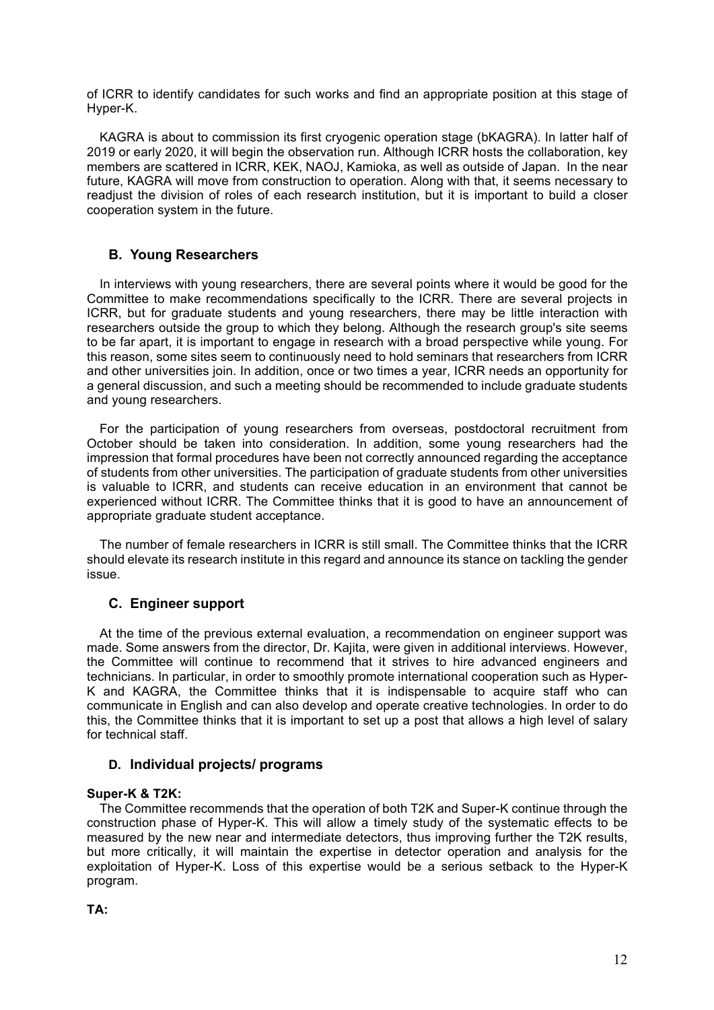of ICRR to identify candidates for such works and find an appropriate position at this stage of Hyper-K.

KAGRA is about to commission its first cryogenic operation stage (bKAGRA). In latter half of 2019 or early 2020, it will begin the observation run. Although ICRR hosts the collaboration, key members are scattered in ICRR, KEK, NAOJ, Kamioka, as well as outside of Japan. In the near future, KAGRA will move from construction to operation. Along with that, it seems necessary to readjust the division of roles of each research institution, but it is important to build a closer cooperation system in the future.

## **B. Young Researchers**

In interviews with young researchers, there are several points where it would be good for the Committee to make recommendations specifically to the ICRR. There are several projects in ICRR, but for graduate students and young researchers, there may be little interaction with researchers outside the group to which they belong. Although the research group's site seems to be far apart, it is important to engage in research with a broad perspective while young. For this reason, some sites seem to continuously need to hold seminars that researchers from ICRR and other universities join. In addition, once or two times a year, ICRR needs an opportunity for a general discussion, and such a meeting should be recommended to include graduate students and young researchers.

For the participation of young researchers from overseas, postdoctoral recruitment from October should be taken into consideration. In addition, some young researchers had the impression that formal procedures have been not correctly announced regarding the acceptance of students from other universities. The participation of graduate students from other universities is valuable to ICRR, and students can receive education in an environment that cannot be experienced without ICRR. The Committee thinks that it is good to have an announcement of appropriate graduate student acceptance.

The number of female researchers in ICRR is still small. The Committee thinks that the ICRR should elevate its research institute in this regard and announce its stance on tackling the gender issue.

## **C. Engineer support**

At the time of the previous external evaluation, a recommendation on engineer support was made. Some answers from the director, Dr. Kajita, were given in additional interviews. However, the Committee will continue to recommend that it strives to hire advanced engineers and technicians. In particular, in order to smoothly promote international cooperation such as Hyper-K and KAGRA, the Committee thinks that it is indispensable to acquire staff who can communicate in English and can also develop and operate creative technologies. In order to do this, the Committee thinks that it is important to set up a post that allows a high level of salary for technical staff.

## **D. Individual projects/ programs**

### **Super-K & T2K:**

The Committee recommends that the operation of both T2K and Super-K continue through the construction phase of Hyper-K. This will allow a timely study of the systematic effects to be measured by the new near and intermediate detectors, thus improving further the T2K results, but more critically, it will maintain the expertise in detector operation and analysis for the exploitation of Hyper-K. Loss of this expertise would be a serious setback to the Hyper-K program.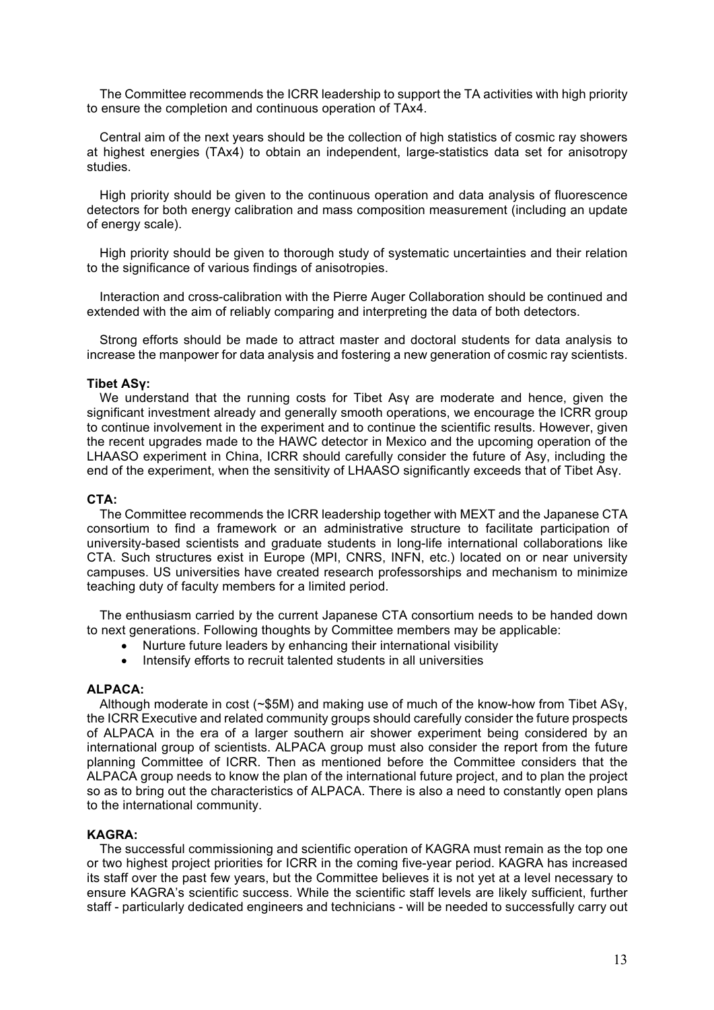The Committee recommends the ICRR leadership to support the TA activities with high priority to ensure the completion and continuous operation of TAx4.

Central aim of the next years should be the collection of high statistics of cosmic ray showers at highest energies (TAx4) to obtain an independent, large-statistics data set for anisotropy studies.

High priority should be given to the continuous operation and data analysis of fluorescence detectors for both energy calibration and mass composition measurement (including an update of energy scale).

High priority should be given to thorough study of systematic uncertainties and their relation to the significance of various findings of anisotropies.

Interaction and cross-calibration with the Pierre Auger Collaboration should be continued and extended with the aim of reliably comparing and interpreting the data of both detectors.

Strong efforts should be made to attract master and doctoral students for data analysis to increase the manpower for data analysis and fostering a new generation of cosmic ray scientists.

#### **Tibet ASγ:**

We understand that the running costs for Tibet Asγ are moderate and hence, given the significant investment already and generally smooth operations, we encourage the ICRR group to continue involvement in the experiment and to continue the scientific results. However, given the recent upgrades made to the HAWC detector in Mexico and the upcoming operation of the LHAASO experiment in China, ICRR should carefully consider the future of Asy, including the end of the experiment, when the sensitivity of LHAASO significantly exceeds that of Tibet Asγ.

#### **CTA:**

The Committee recommends the ICRR leadership together with MEXT and the Japanese CTA consortium to find a framework or an administrative structure to facilitate participation of university-based scientists and graduate students in long-life international collaborations like CTA. Such structures exist in Europe (MPI, CNRS, INFN, etc.) located on or near university campuses. US universities have created research professorships and mechanism to minimize teaching duty of faculty members for a limited period.

The enthusiasm carried by the current Japanese CTA consortium needs to be handed down to next generations. Following thoughts by Committee members may be applicable:

- Nurture future leaders by enhancing their international visibility
- Intensify efforts to recruit talented students in all universities

#### **ALPACA:**

Although moderate in cost (~\$5M) and making use of much of the know-how from Tibet ASγ, the ICRR Executive and related community groups should carefully consider the future prospects of ALPACA in the era of a larger southern air shower experiment being considered by an international group of scientists. ALPACA group must also consider the report from the future planning Committee of ICRR. Then as mentioned before the Committee considers that the ALPACA group needs to know the plan of the international future project, and to plan the project so as to bring out the characteristics of ALPACA. There is also a need to constantly open plans to the international community.

#### **KAGRA:**

The successful commissioning and scientific operation of KAGRA must remain as the top one or two highest project priorities for ICRR in the coming five-year period. KAGRA has increased its staff over the past few years, but the Committee believes it is not yet at a level necessary to ensure KAGRA's scientific success. While the scientific staff levels are likely sufficient, further staff - particularly dedicated engineers and technicians - will be needed to successfully carry out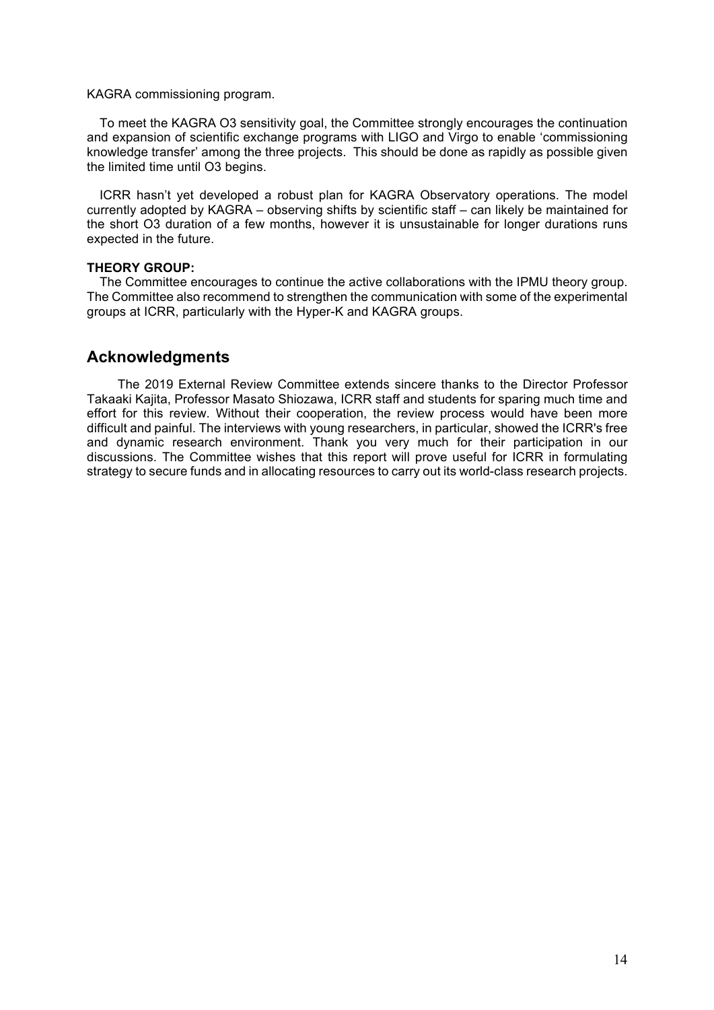#### KAGRA commissioning program.

To meet the KAGRA O3 sensitivity goal, the Committee strongly encourages the continuation and expansion of scientific exchange programs with LIGO and Virgo to enable 'commissioning knowledge transfer' among the three projects. This should be done as rapidly as possible given the limited time until O3 begins.

ICRR hasn't yet developed a robust plan for KAGRA Observatory operations. The model currently adopted by KAGRA – observing shifts by scientific staff – can likely be maintained for the short O3 duration of a few months, however it is unsustainable for longer durations runs expected in the future.

#### **THEORY GROUP:**

The Committee encourages to continue the active collaborations with the IPMU theory group. The Committee also recommend to strengthen the communication with some of the experimental groups at ICRR, particularly with the Hyper-K and KAGRA groups.

## **Acknowledgments**

 The 2019 External Review Committee extends sincere thanks to the Director Professor Takaaki Kajita, Professor Masato Shiozawa, ICRR staff and students for sparing much time and effort for this review. Without their cooperation, the review process would have been more difficult and painful. The interviews with young researchers, in particular, showed the ICRR's free and dynamic research environment. Thank you very much for their participation in our discussions. The Committee wishes that this report will prove useful for ICRR in formulating strategy to secure funds and in allocating resources to carry out its world-class research projects.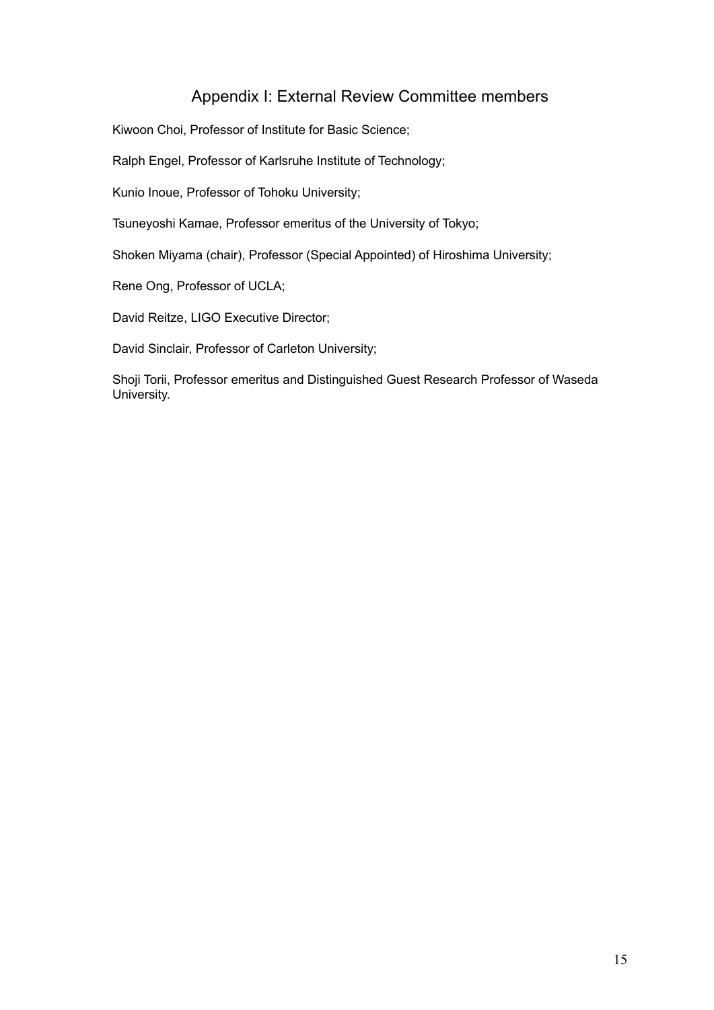# Appendix I: External Review Committee members

Kiwoon Choi, Professor of Institute for Basic Science;

Ralph Engel, Professor of Karlsruhe Institute of Technology;

Kunio Inoue, Professor of Tohoku University;

Tsuneyoshi Kamae, Professor emeritus of the University of Tokyo;

Shoken Miyama (chair), Professor (Special Appointed) of Hiroshima University;

Rene Ong, Professor of UCLA;

David Reitze, LIGO Executive Director;

David Sinclair, Professor of Carleton University;

Shoji Torii, Professor emeritus and Distinguished Guest Research Professor of Waseda University.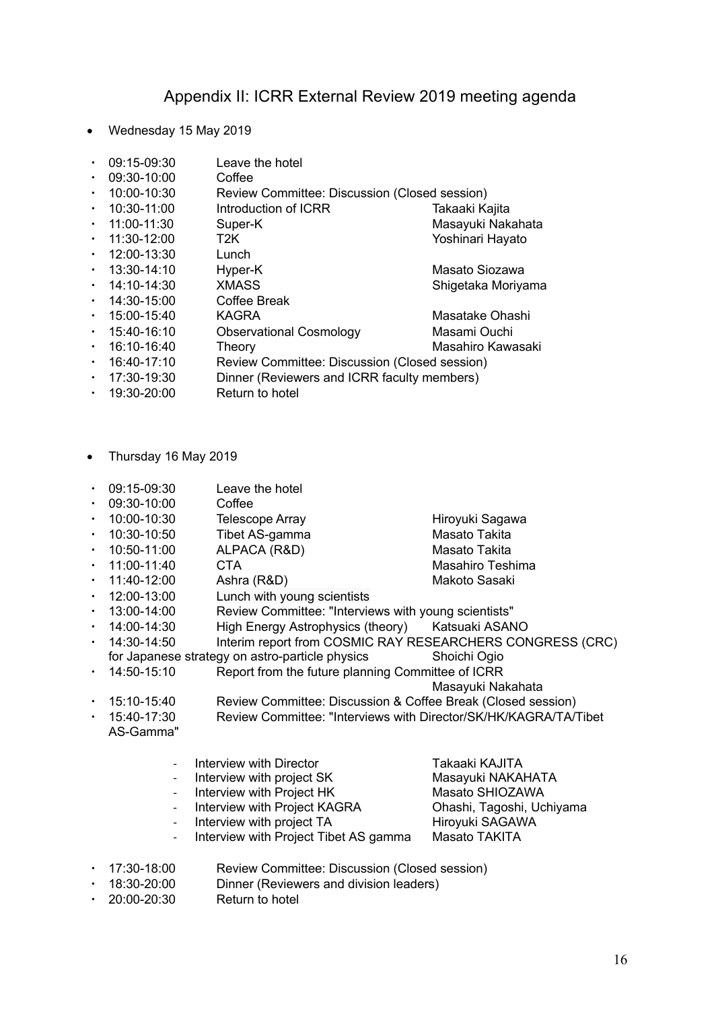## Appendix II: ICRR External Review 2019 meeting agenda

• Wednesday 15 May 2019

|  | 09:15-09:30 | Leave the hotel |
|--|-------------|-----------------|
|--|-------------|-----------------|

- ・ 09:30-10:00 Coffee
- 10:00-10:30 Review Committee: Discussion (Closed session)
- 10:30-11:00 Introduction of ICRR Takaaki Kajita
- 11:00-11:30 Super-K Masayuki Nakahata
- 11:30-12:00 T2K Yoshinari Hayato
- ・ 12:00-13:30 Lunch
- 13:30-14:10 Hyper-K Masato Siozawa
- 14:10-14:30 XMASS Shigetaka Morivama
- 
- ・ 14:30-15:00 Coffee Break
- 15:00-15:40 KAGRA Masatake Ohashi
- ・ 15:40-16:10 Observational Cosmology Masami Ouchi
- 16:10-16:40 Theory Masahiro Kawasaki
- ・ 16:40-17:10 Review Committee: Discussion (Closed session)
- 17:30-19:30 Dinner (Reviewers and ICRR faculty members)
- ・ 19:30-20:00 Return to hotel
- Thursday 16 May 2019
- ・ 09:15-09:30 Leave the hotel
- ・ 09:30-10:00 Coffee
- 10:00-10:30 Telescope Array Telescope Array Hiroyuki Sagawa
- 10:30-10:50 Tibet AS-gamma Masato Takita
- ・ 10:50-11:00 ALPACA (R&D) Masato Takita
- ・ 11:00-11:40 CTA Masahiro Teshima
- 11:40-12:00 Ashra (R&D) Makoto Sasaki
- ・ 12:00-13:00 Lunch with young scientists
- ・ 13:00-14:00 Review Committee: "Interviews with young scientists"
- ・ 14:00-14:30 High Energy Astrophysics (theory) Katsuaki ASANO
- ・ 14:30-14:50 Interim report from COSMIC RAY RESEARCHERS CONGRESS (CRC)
- for Japanese strategy on astro-particle physics Shoichi Ogio
- ・ 14:50-15:10 Report from the future planning Committee of ICRR

Masayuki Nakahata

- ・ 15:10-15:40 Review Committee: Discussion & Coffee Break (Closed session)
- ・ 15:40-17:30 Review Committee: "Interviews with Director/SK/HK/KAGRA/TA/Tibet AS-Gamma"

| - Interview with Director               | Takaaki KAJITA            |
|-----------------------------------------|---------------------------|
| - Interview with project SK             | Masayuki NAKAHATA         |
| - Interview with Project HK             | Masato SHIOZAWA           |
| - Interview with Project KAGRA          | Ohashi, Tagoshi, Uchiyama |
| - Interview with project TA             | Hiroyuki SAGAWA           |
| - Interview with Project Tibet AS gamma | Masato TAKITA             |
|                                         |                           |

- 17:30-18:00 Review Committee: Discussion (Closed session)
- ・ 18:30-20:00 Dinner (Reviewers and division leaders)
- 20:00-20:30 Return to hotel